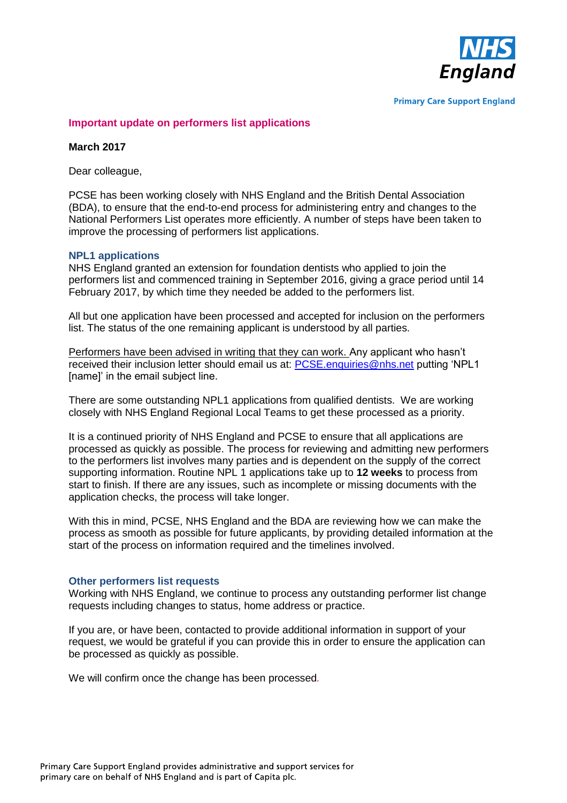

**Primary Care Support England** 

## **Important update on performers list applications**

### **March 2017**

Dear colleague,

PCSE has been working closely with NHS England and the British Dental Association (BDA), to ensure that the end-to-end process for administering entry and changes to the National Performers List operates more efficiently. A number of steps have been taken to improve the processing of performers list applications.

#### **NPL1 applications**

NHS England granted an extension for foundation dentists who applied to join the performers list and commenced training in September 2016, giving a grace period until 14 February 2017, by which time they needed be added to the performers list.

All but one application have been processed and accepted for inclusion on the performers list. The status of the one remaining applicant is understood by all parties.

Performers have been advised in writing that they can work. Any applicant who hasn't received their inclusion letter should email us at: [PCSE.enquiries@nhs.net](mailto:PCSE.enquiries@nhs.net) putting 'NPL1 [name]' in the email subject line.

There are some outstanding NPL1 applications from qualified dentists. We are working closely with NHS England Regional Local Teams to get these processed as a priority.

It is a continued priority of NHS England and PCSE to ensure that all applications are processed as quickly as possible. The process for reviewing and admitting new performers to the performers list involves many parties and is dependent on the supply of the correct supporting information. Routine NPL 1 applications take up to **12 weeks** to process from start to finish. If there are any issues, such as incomplete or missing documents with the application checks, the process will take longer.

With this in mind, PCSE, NHS England and the BDA are reviewing how we can make the process as smooth as possible for future applicants, by providing detailed information at the start of the process on information required and the timelines involved.

#### **Other performers list requests**

Working with NHS England, we continue to process any outstanding performer list change requests including changes to status, home address or practice.

If you are, or have been, contacted to provide additional information in support of your request, we would be grateful if you can provide this in order to ensure the application can be processed as quickly as possible.

We will confirm once the change has been processed*.*